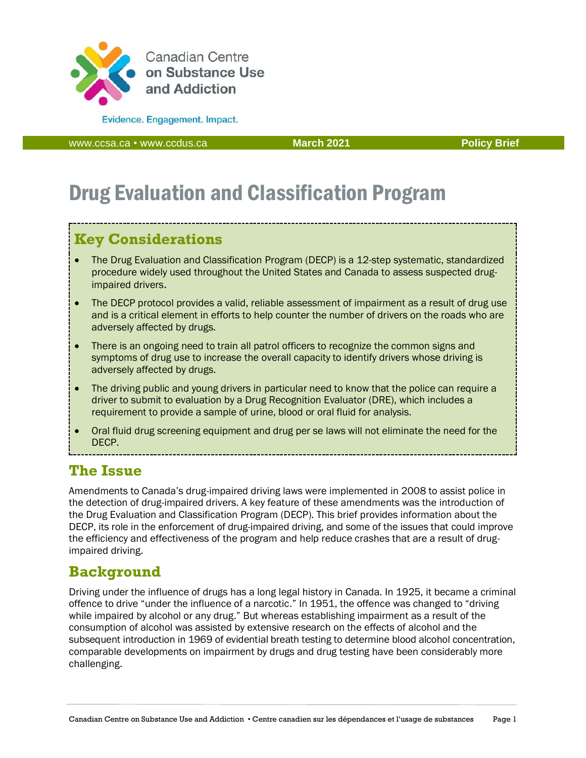

**Evidence.** Engagement. Impact.

[www.ccsa.ca](http://www.ccsa.ca/) • www.ccdus.ca **March 2021 Policy Brief** 

# Drug Evaluation and Classification Program

### **Key Considerations**

- The Drug Evaluation and Classification Program (DECP) is a 12-step systematic, standardized procedure widely used throughout the United States and Canada to assess suspected drugimpaired drivers.
- The DECP protocol provides a valid, reliable assessment of impairment as a result of drug use and is a critical element in efforts to help counter the number of drivers on the roads who are adversely affected by drugs.
- There is an ongoing need to train all patrol officers to recognize the common signs and symptoms of drug use to increase the overall capacity to identify drivers whose driving is adversely affected by drugs.
- The driving public and young drivers in particular need to know that the police can require a driver to submit to evaluation by a Drug Recognition Evaluator (DRE), which includes a requirement to provide a sample of urine, blood or oral fluid for analysis.
- Oral fluid drug screening equipment and drug per se laws will not eliminate the need for the DECP.

### **The Issue**

Amendments to Canada's drug-impaired driving laws were implemented in 2008 to assist police in the detection of drug-impaired drivers. A key feature of these amendments was the introduction of the Drug Evaluation and Classification Program (DECP). This brief provides information about the DECP, its role in the enforcement of drug-impaired driving, and some of the issues that could improve the efficiency and effectiveness of the program and help reduce crashes that are a result of drugimpaired driving.

### **Background**

Driving under the influence of drugs has a long legal history in Canada. In 1925, it became a criminal offence to drive "under the influence of a narcotic." In 1951, the offence was changed to "driving while impaired by alcohol or any drug." But whereas establishing impairment as a result of the consumption of alcohol was assisted by extensive research on the effects of alcohol and the subsequent introduction in 1969 of evidential breath testing to determine blood alcohol concentration, comparable developments on impairment by drugs and drug testing have been considerably more challenging.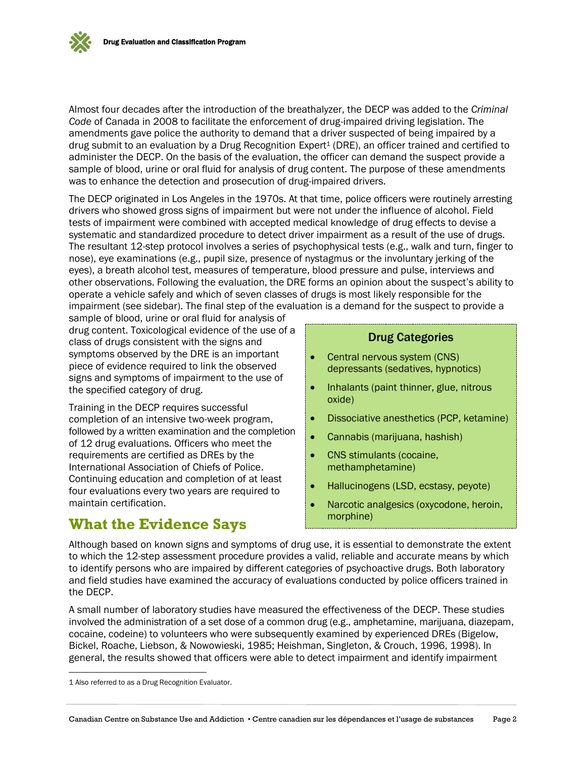Almost four decades after the introduction of the breathalyzer, the DECP was added to the *Criminal Code* of Canada in 2008 to facilitate the enforcement of drug-impaired driving legislation. The amendments gave police the authority to demand that a driver suspected of being impaired by a drug submit to an evaluation by a Drug Recognition Expert<sup>1</sup> (DRE), an officer trained and certified to administer the DECP. On the basis of the evaluation, the officer can demand the suspect provide a sample of blood, urine or oral fluid for analysis of drug content. The purpose of these amendments was to enhance the detection and prosecution of drug-impaired drivers.

The DECP originated in Los Angeles in the 1970s. At that time, police officers were routinely arresting drivers who showed gross signs of impairment but were not under the influence of alcohol. Field tests of impairment were combined with accepted medical knowledge of drug effects to devise a systematic and standardized procedure to detect driver impairment as a result of the use of drugs. The resultant 12-step protocol involves a series of psychophysical tests (e.g., walk and turn, finger to nose), eye examinations (e.g., pupil size, presence of nystagmus or the involuntary jerking of the eyes), a breath alcohol test, measures of temperature, blood pressure and pulse, interviews and other observations. Following the evaluation, the DRE forms an opinion about the suspect's ability to operate a vehicle safely and which of seven classes of drugs is most likely responsible for the impairment (see sidebar). The final step of the evaluation is a demand for the suspect to provide a

sample of blood, urine or oral fluid for analysis of drug content. Toxicological evidence of the use of a class of drugs consistent with the signs and symptoms observed by the DRE is an important piece of evidence required to link the observed signs and symptoms of impairment to the use of the specified category of drug.

Training in the DECP requires successful completion of an intensive two-week program, followed by a written examination and the completion of 12 drug evaluations. Officers who meet the requirements are certified as DREs by the International Association of Chiefs of Police. Continuing education and completion of at least four evaluations every two years are required to maintain certification.

### **What the Evidence Says**

#### Drug Categories

- Central nervous system (CNS) depressants (sedatives, hypnotics)
- Inhalants (paint thinner, glue, nitrous oxide)
- Dissociative anesthetics (PCP, ketamine)
- Cannabis (marijuana, hashish)
- CNS stimulants (cocaine, methamphetamine)
- Hallucinogens (LSD, ecstasy, peyote)
- Narcotic analgesics (oxycodone, heroin, morphine)

Although based on known signs and symptoms of drug use, it is essential to demonstrate the extent to which the 12-step assessment procedure provides a valid, reliable and accurate means by which to identify persons who are impaired by different categories of psychoactive drugs. Both laboratory and field studies have examined the accuracy of evaluations conducted by police officers trained in the DECP.

A small number of laboratory studies have measured the effectiveness of the DECP. These studies involved the administration of a set dose of a common drug (e.g., amphetamine, marijuana, diazepam, cocaine, codeine) to volunteers who were subsequently examined by experienced DREs (Bigelow, Bickel, Roache, Liebson, & Nowowieski, 1985; Heishman, Singleton, & Crouch, 1996, 1998). In general, the results showed that officers were able to detect impairment and identify impairment

<sup>1</sup> Also referred to as a Drug Recognition Evaluator.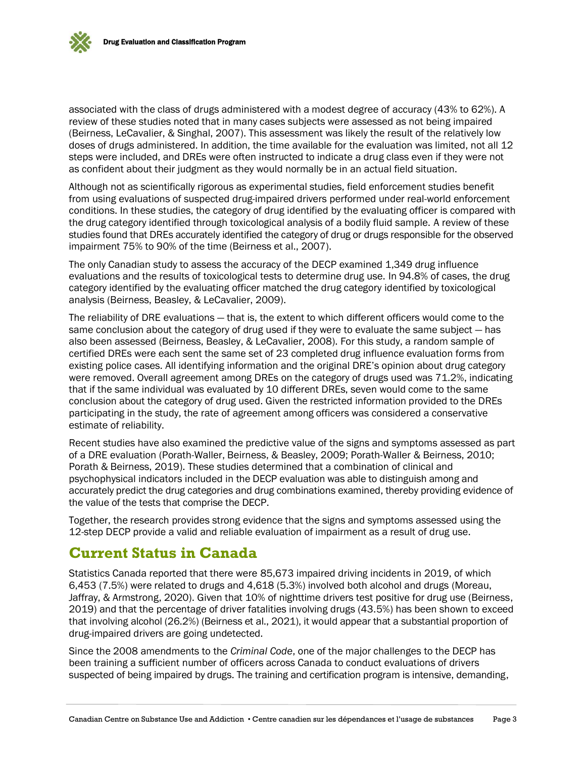

associated with the class of drugs administered with a modest degree of accuracy (43% to 62%). A review of these studies noted that in many cases subjects were assessed as not being impaired (Beirness, LeCavalier, & Singhal, 2007). This assessment was likely the result of the relatively low doses of drugs administered. In addition, the time available for the evaluation was limited, not all 12 steps were included, and DREs were often instructed to indicate a drug class even if they were not as confident about their judgment as they would normally be in an actual field situation.

Although not as scientifically rigorous as experimental studies, field enforcement studies benefit from using evaluations of suspected drug-impaired drivers performed under real-world enforcement conditions. In these studies, the category of drug identified by the evaluating officer is compared with the drug category identified through toxicological analysis of a bodily fluid sample. A review of these studies found that DREs accurately identified the category of drug or drugs responsible for the observed impairment 75% to 90% of the time (Beirness et al., 2007).

The only Canadian study to assess the accuracy of the DECP examined 1,349 drug influence evaluations and the results of toxicological tests to determine drug use. In 94.8% of cases, the drug category identified by the evaluating officer matched the drug category identified by toxicological analysis (Beirness, Beasley, & LeCavalier, 2009).

The reliability of DRE evaluations — that is, the extent to which different officers would come to the same conclusion about the category of drug used if they were to evaluate the same subject – has also been assessed (Beirness, Beasley, & LeCavalier, 2008). For this study, a random sample of certified DREs were each sent the same set of 23 completed drug influence evaluation forms from existing police cases. All identifying information and the original DRE's opinion about drug category were removed. Overall agreement among DREs on the category of drugs used was 71.2%, indicating that if the same individual was evaluated by 10 different DREs, seven would come to the same conclusion about the category of drug used. Given the restricted information provided to the DREs participating in the study, the rate of agreement among officers was considered a conservative estimate of reliability.

Recent studies have also examined the predictive value of the signs and symptoms assessed as part of a DRE evaluation (Porath-Waller, Beirness, & Beasley, 2009; Porath-Waller & Beirness, 2010; Porath & Beirness, 2019). These studies determined that a combination of clinical and psychophysical indicators included in the DECP evaluation was able to distinguish among and accurately predict the drug categories and drug combinations examined, thereby providing evidence of the value of the tests that comprise the DECP.

Together, the research provides strong evidence that the signs and symptoms assessed using the 12-step DECP provide a valid and reliable evaluation of impairment as a result of drug use.

### **Current Status in Canada**

Statistics Canada reported that there were 85,673 impaired driving incidents in 2019, of which 6,453 (7.5%) were related to drugs and 4,618 (5.3%) involved both alcohol and drugs (Moreau, Jaffray, & Armstrong, 2020). Given that 10% of nighttime drivers test positive for drug use (Beirness, 2019) and that the percentage of driver fatalities involving drugs (43.5%) has been shown to exceed that involving alcohol (26.2%) (Beirness et al., 2021), it would appear that a substantial proportion of drug-impaired drivers are going undetected.

Since the 2008 amendments to the *Criminal Code*, one of the major challenges to the DECP has been training a sufficient number of officers across Canada to conduct evaluations of drivers suspected of being impaired by drugs. The training and certification program is intensive, demanding,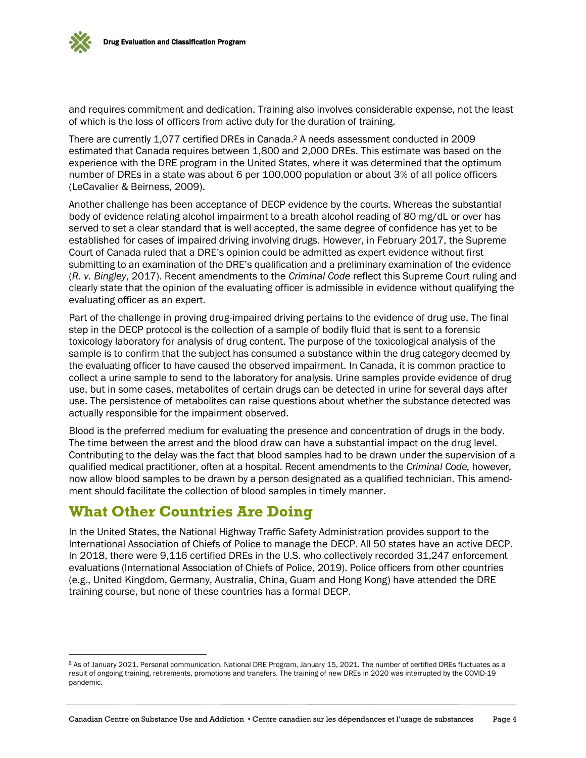and requires commitment and dedication. Training also involves considerable expense, not the least of which is the loss of officers from active duty for the duration of training.

There are currently 1,077 certified DREs in Canada.<sup>2</sup> A needs assessment conducted in 2009 estimated that Canada requires between 1,800 and 2,000 DREs. This estimate was based on the experience with the DRE program in the United States, where it was determined that the optimum number of DREs in a state was about 6 per 100,000 population or about 3% of all police officers (LeCavalier & Beirness, 2009).

Another challenge has been acceptance of DECP evidence by the courts. Whereas the substantial body of evidence relating alcohol impairment to a breath alcohol reading of 80 mg/dL or over has served to set a clear standard that is well accepted, the same degree of confidence has yet to be established for cases of impaired driving involving drugs. However, in February 2017, the Supreme Court of Canada ruled that a DRE's opinion could be admitted as expert evidence without first submitting to an examination of the DRE's qualification and a preliminary examination of the evidence (*R. v. Bingley*, 2017). Recent amendments to the *Criminal Code* reflect this Supreme Court ruling and clearly state that the opinion of the evaluating officer is admissible in evidence without qualifying the evaluating officer as an expert.

Part of the challenge in proving drug-impaired driving pertains to the evidence of drug use. The final step in the DECP protocol is the collection of a sample of bodily fluid that is sent to a forensic toxicology laboratory for analysis of drug content. The purpose of the toxicological analysis of the sample is to confirm that the subject has consumed a substance within the drug category deemed by the evaluating officer to have caused the observed impairment. In Canada, it is common practice to collect a urine sample to send to the laboratory for analysis. Urine samples provide evidence of drug use, but in some cases, metabolites of certain drugs can be detected in urine for several days after use. The persistence of metabolites can raise questions about whether the substance detected was actually responsible for the impairment observed.

Blood is the preferred medium for evaluating the presence and concentration of drugs in the body. The time between the arrest and the blood draw can have a substantial impact on the drug level. Contributing to the delay was the fact that blood samples had to be drawn under the supervision of a qualified medical practitioner, often at a hospital. Recent amendments to the *Criminal Code,* however*,* now allow blood samples to be drawn by a person designated as a qualified technician. This amendment should facilitate the collection of blood samples in timely manner.

### **What Other Countries Are Doing**

In the United States, the National Highway Traffic Safety Administration provides support to the International Association of Chiefs of Police to manage the DECP. All 50 states have an active DECP. In 2018, there were 9,116 certified DREs in the U.S. who collectively recorded 31,247 enforcement evaluations (International Association of Chiefs of Police, 2019). Police officers from other countries (e.g., United Kingdom, Germany, Australia, China, Guam and Hong Kong) have attended the DRE training course, but none of these countries has a formal DECP.

<sup>&</sup>lt;sup>2</sup> As of January 2021. Personal communication, National DRE Program, January 15, 2021. The number of certified DREs fluctuates as a result of ongoing training, retirements, promotions and transfers. The training of new DREs in 2020 was interrupted by the COVID-19 pandemic.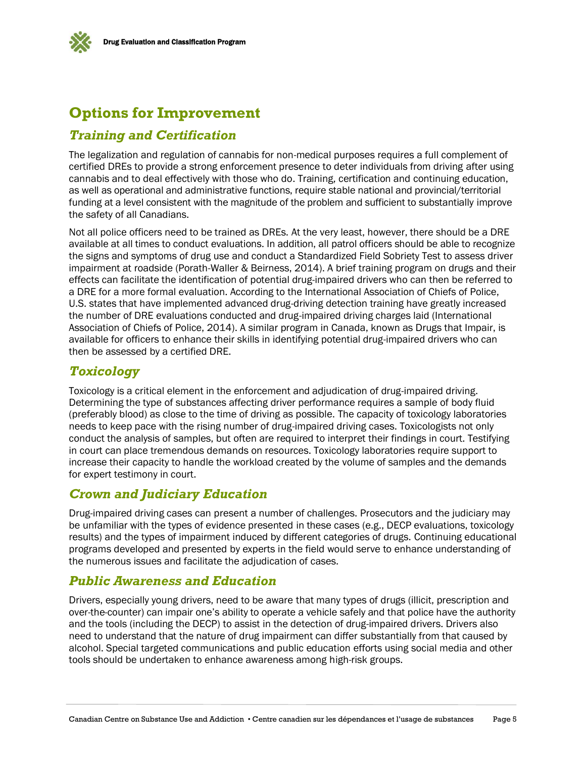

## **Options for Improvement**

#### *Training and Certification*

The legalization and regulation of cannabis for non-medical purposes requires a full complement of certified DREs to provide a strong enforcement presence to deter individuals from driving after using cannabis and to deal effectively with those who do. Training, certification and continuing education, as well as operational and administrative functions, require stable national and provincial/territorial funding at a level consistent with the magnitude of the problem and sufficient to substantially improve the safety of all Canadians.

Not all police officers need to be trained as DREs. At the very least, however, there should be a DRE available at all times to conduct evaluations. In addition, all patrol officers should be able to recognize the signs and symptoms of drug use and conduct a Standardized Field Sobriety Test to assess driver impairment at roadside (Porath-Waller & Beirness, 2014). A brief training program on drugs and their effects can facilitate the identification of potential drug-impaired drivers who can then be referred to a DRE for a more formal evaluation. According to the International Association of Chiefs of Police, U.S. states that have implemented advanced drug-driving detection training have greatly increased the number of DRE evaluations conducted and drug-impaired driving charges laid (International Association of Chiefs of Police, 2014). A similar program in Canada, known as Drugs that Impair, is available for officers to enhance their skills in identifying potential drug-impaired drivers who can then be assessed by a certified DRE.

#### *Toxicology*

Toxicology is a critical element in the enforcement and adjudication of drug-impaired driving. Determining the type of substances affecting driver performance requires a sample of body fluid (preferably blood) as close to the time of driving as possible. The capacity of toxicology laboratories needs to keep pace with the rising number of drug-impaired driving cases. Toxicologists not only conduct the analysis of samples, but often are required to interpret their findings in court. Testifying in court can place tremendous demands on resources. Toxicology laboratories require support to increase their capacity to handle the workload created by the volume of samples and the demands for expert testimony in court.

#### *Crown and Judiciary Education*

Drug-impaired driving cases can present a number of challenges. Prosecutors and the judiciary may be unfamiliar with the types of evidence presented in these cases (e.g., DECP evaluations, toxicology results) and the types of impairment induced by different categories of drugs. Continuing educational programs developed and presented by experts in the field would serve to enhance understanding of the numerous issues and facilitate the adjudication of cases.

#### *Public Awareness and Education*

Drivers, especially young drivers, need to be aware that many types of drugs (illicit, prescription and over-the-counter) can impair one's ability to operate a vehicle safely and that police have the authority and the tools (including the DECP) to assist in the detection of drug-impaired drivers. Drivers also need to understand that the nature of drug impairment can differ substantially from that caused by alcohol. Special targeted communications and public education efforts using social media and other tools should be undertaken to enhance awareness among high-risk groups.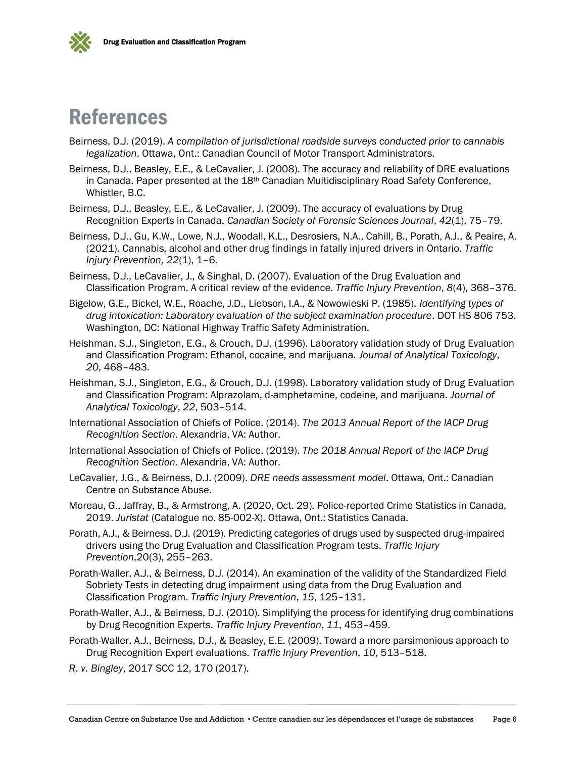



## References

- Beirness, D.J. (2019). *A compilation of jurisdictional roadside surveys conducted prior to cannabis legalization*. Ottawa, Ont.: Canadian Council of Motor Transport Administrators.
- Beirness, D.J., Beasley, E.E., & LeCavalier, J. (2008). The accuracy and reliability of DRE evaluations in Canada. Paper presented at the 18<sup>th</sup> Canadian Multidisciplinary Road Safety Conference, Whistler, B.C.
- Beirness, D.J., Beasley, E.E., & LeCavalier, J. (2009). The accuracy of evaluations by Drug Recognition Experts in Canada. *Canadian Society of Forensic Sciences Journal*, *42*(1), 75–79.
- Beirness, D.J., Gu, K.W., Lowe, N.J., Woodall, K.L., Desrosiers, N.A., Cahill, B., Porath, A.J., & Peaire, A. (2021). Cannabis, alcohol and other drug findings in fatally injured drivers in Ontario. *Traffic Injury Prevention, 22*(1), 1–6.
- Beirness, D.J., LeCavalier, J., & Singhal, D. (2007). Evaluation of the Drug Evaluation and Classification Program. A critical review of the evidence. *Traffic Injury Prevention*, *8*(4), 368–376.
- Bigelow, G.E., Bickel, W.E., Roache, J.D., Liebson, I.A., & Nowowieski P. (1985). *Identifying types of drug intoxication: Laboratory evaluation of the subject examination procedure*. DOT HS 806 753. Washington, DC: National Highway Traffic Safety Administration.
- Heishman, S.J., Singleton, E.G., & Crouch, D.J. (1996). Laboratory validation study of Drug Evaluation and Classification Program: Ethanol, cocaine, and marijuana. *Journal of Analytical Toxicology*, *20*, 468–483.
- Heishman, S.J., Singleton, E.G., & Crouch, D.J. (1998). Laboratory validation study of Drug Evaluation and Classification Program: Alprazolam, d-amphetamine, codeine, and marijuana. *Journal of Analytical Toxicology*, *22*, 503–514.
- International Association of Chiefs of Police. (2014). *The 2013 Annual Report of the IACP Drug Recognition Section*. Alexandria, VA: Author.
- International Association of Chiefs of Police. (2019). *The 2018 Annual Report of the IACP Drug Recognition Section*. Alexandria, VA: Author.
- LeCavalier, J.G., & Beirness, D.J. (2009). *DRE needs assessment model*. Ottawa, Ont.: Canadian Centre on Substance Abuse.
- Moreau, G., Jaffray, B., & Armstrong, A. (2020, Oct. 29). Police-reported Crime Statistics in Canada, 2019. *Juristat* (Catalogue no. 85-002-X). Ottawa, Ont.: Statistics Canada.
- Porath, A.J., & Beirness, D.J. (2019). Predicting categories of drugs used by suspected drug-impaired drivers using the Drug Evaluation and Classification Program tests. *Traffic Injury Prevention*,20(3), 255–263.
- Porath-Waller, A.J., & Beirness, D.J. (2014). An examination of the validity of the Standardized Field Sobriety Tests in detecting drug impairment using data from the Drug Evaluation and Classification Program. *Traffic Injury Prevention*, *15*, 125–131.
- Porath-Waller, A.J., & Beirness, D.J. (2010). Simplifying the process for identifying drug combinations by Drug Recognition Experts. *Traffic Injury Prevention*, *11*, 453–459.
- Porath-Waller, A.J., Beirness, D.J., & Beasley, E.E. (2009). Toward a more parsimonious approach to Drug Recognition Expert evaluations. *Traffic Injury Prevention*, *10*, 513–518.

*R. v. Bingley*, 2017 SCC 12, 170 (2017).